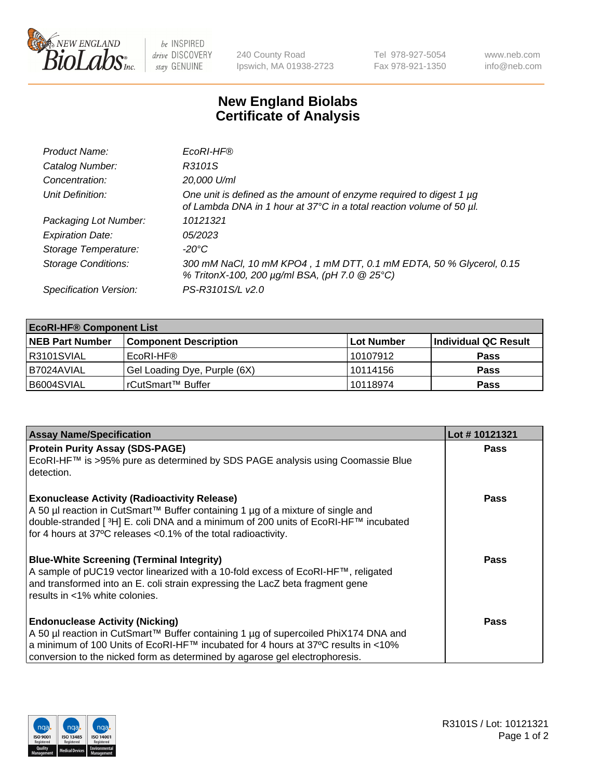

 $be$  INSPIRED drive DISCOVERY stay GENUINE

240 County Road Ipswich, MA 01938-2723 Tel 978-927-5054 Fax 978-921-1350 www.neb.com info@neb.com

## **New England Biolabs Certificate of Analysis**

| Product Name:              | EcoRI-HF®                                                                                                                                   |
|----------------------------|---------------------------------------------------------------------------------------------------------------------------------------------|
| Catalog Number:            | R3101S                                                                                                                                      |
| Concentration:             | 20,000 U/ml                                                                                                                                 |
| Unit Definition:           | One unit is defined as the amount of enzyme required to digest 1 µg<br>of Lambda DNA in 1 hour at 37°C in a total reaction volume of 50 µl. |
| Packaging Lot Number:      | 10121321                                                                                                                                    |
| <b>Expiration Date:</b>    | 05/2023                                                                                                                                     |
| Storage Temperature:       | -20°C                                                                                                                                       |
| <b>Storage Conditions:</b> | 300 mM NaCl, 10 mM KPO4, 1 mM DTT, 0.1 mM EDTA, 50 % Glycerol, 0.15<br>% TritonX-100, 200 µg/ml BSA, (pH 7.0 @ 25°C)                        |
| Specification Version:     | PS-R3101S/L v2.0                                                                                                                            |

| <b>EcoRI-HF® Component List</b> |                              |             |                      |  |  |
|---------------------------------|------------------------------|-------------|----------------------|--|--|
| <b>NEB Part Number</b>          | <b>Component Description</b> | ∣Lot Number | Individual QC Result |  |  |
| R3101SVIAL                      | EcoRI-HF®                    | 10107912    | <b>Pass</b>          |  |  |
| I B7024AVIAL                    | Gel Loading Dye, Purple (6X) | 10114156    | <b>Pass</b>          |  |  |
| B6004SVIAL                      | rCutSmart™ Buffer            | 10118974    | <b>Pass</b>          |  |  |

| <b>Assay Name/Specification</b>                                                                                                                                                                                                                                                                   | Lot #10121321 |
|---------------------------------------------------------------------------------------------------------------------------------------------------------------------------------------------------------------------------------------------------------------------------------------------------|---------------|
| <b>Protein Purity Assay (SDS-PAGE)</b>                                                                                                                                                                                                                                                            | <b>Pass</b>   |
| EcoRI-HF™ is >95% pure as determined by SDS PAGE analysis using Coomassie Blue<br>detection.                                                                                                                                                                                                      |               |
| <b>Exonuclease Activity (Radioactivity Release)</b><br>A 50 µl reaction in CutSmart™ Buffer containing 1 µg of a mixture of single and<br>double-stranded [3H] E. coli DNA and a minimum of 200 units of EcoRI-HF™ incubated<br>for 4 hours at 37°C releases <0.1% of the total radioactivity.    | Pass          |
| <b>Blue-White Screening (Terminal Integrity)</b><br>A sample of pUC19 vector linearized with a 10-fold excess of EcoRI-HF™, religated<br>and transformed into an E. coli strain expressing the LacZ beta fragment gene<br>results in <1% white colonies.                                          | Pass          |
| <b>Endonuclease Activity (Nicking)</b><br>A 50 µl reaction in CutSmart™ Buffer containing 1 µg of supercoiled PhiX174 DNA and<br>a minimum of 100 Units of EcoRI-HF™ incubated for 4 hours at 37°C results in <10%<br>conversion to the nicked form as determined by agarose gel electrophoresis. | <b>Pass</b>   |